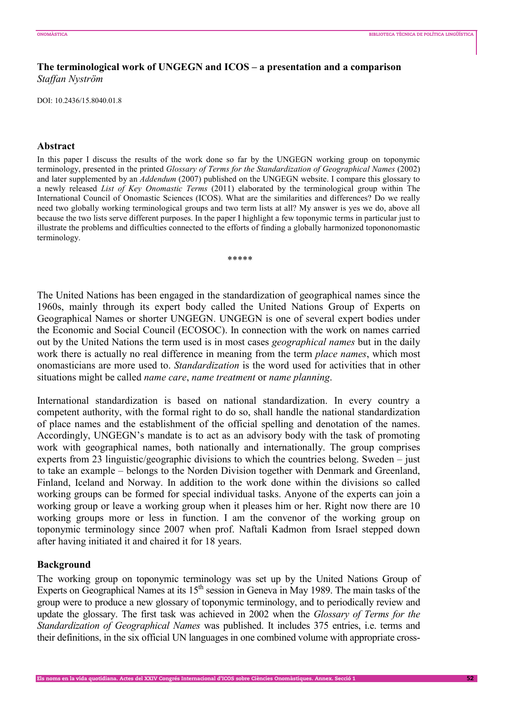# **The terminological work of UNGEGN and ICOS – a presentation and a comparison**  *Staffan Nyström*

DOI: 10.2436/15.8040.01.8

### **Abstract**

In this paper I discuss the results of the work done so far by the UNGEGN working group on toponymic terminology, presented in the printed *Glossary of Terms for the Standardization of Geographical Names* (2002) and later supplemented by an *Addendum* (2007) published on the UNGEGN website. I compare this glossary to a newly released *List of Key Onomastic Terms* (2011) elaborated by the terminological group within The International Council of Onomastic Sciences (ICOS). What are the similarities and differences? Do we really need two globally working terminological groups and two term lists at all? My answer is yes we do, above all because the two lists serve different purposes. In the paper I highlight a few toponymic terms in particular just to illustrate the problems and difficulties connected to the efforts of finding a globally harmonized topononomastic terminology.

\*\*\*\*\*

The United Nations has been engaged in the standardization of geographical names since the 1960s, mainly through its expert body called the United Nations Group of Experts on Geographical Names or shorter UNGEGN. UNGEGN is one of several expert bodies under the Economic and Social Council (ECOSOC). In connection with the work on names carried out by the United Nations the term used is in most cases *geographical names* but in the daily work there is actually no real difference in meaning from the term *place names*, which most onomasticians are more used to. *Standardization* is the word used for activities that in other situations might be called *name care*, *name treatment* or *name planning*.

International standardization is based on national standardization. In every country a competent authority, with the formal right to do so, shall handle the national standardization of place names and the establishment of the official spelling and denotation of the names. Accordingly, UNGEGN's mandate is to act as an advisory body with the task of promoting work with geographical names, both nationally and internationally. The group comprises experts from 23 linguistic/geographic divisions to which the countries belong. Sweden – just to take an example – belongs to the Norden Division together with Denmark and Greenland, Finland, Iceland and Norway. In addition to the work done within the divisions so called working groups can be formed for special individual tasks. Anyone of the experts can join a working group or leave a working group when it pleases him or her. Right now there are 10 working groups more or less in function. I am the convenor of the working group on toponymic terminology since 2007 when prof. Naftali Kadmon from Israel stepped down after having initiated it and chaired it for 18 years.

#### **Background**

The working group on toponymic terminology was set up by the United Nations Group of Experts on Geographical Names at its  $15<sup>th</sup>$  session in Geneva in May 1989. The main tasks of the group were to produce a new glossary of toponymic terminology, and to periodically review and update the glossary. The first task was achieved in 2002 when the *Glossary of Terms for the Standardization of Geographical Names* was published. It includes 375 entries, i.e. terms and their definitions, in the six official UN languages in one combined volume with appropriate cross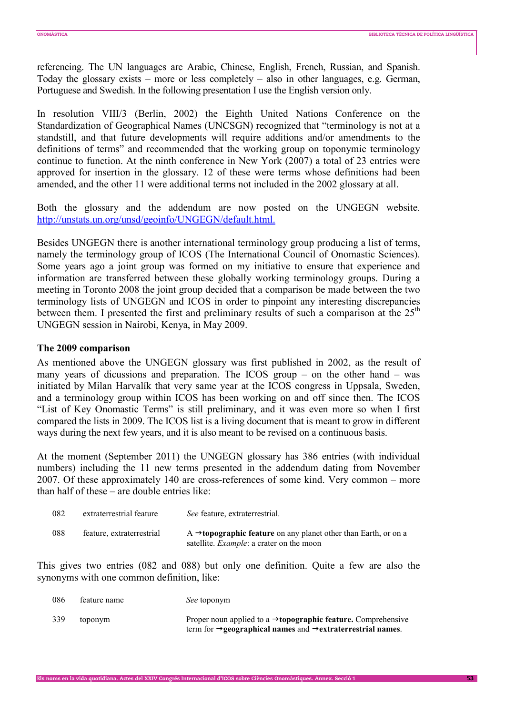referencing. The UN languages are Arabic, Chinese, English, French, Russian, and Spanish. Today the glossary exists – more or less completely – also in other languages, e.g. German, Portuguese and Swedish. In the following presentation I use the English version only.

In resolution VIII/3 (Berlin, 2002) the Eighth United Nations Conference on the Standardization of Geographical Names (UNCSGN) recognized that "terminology is not at a standstill, and that future developments will require additions and/or amendments to the definitions of terms" and recommended that the working group on toponymic terminology continue to function. At the ninth conference in New York (2007) a total of 23 entries were approved for insertion in the glossary. 12 of these were terms whose definitions had been amended, and the other 11 were additional terms not included in the 2002 glossary at all.

Both the glossary and the addendum are now posted on the UNGEGN website. http://unstats.un.org/unsd/geoinfo/UNGEGN/default.html.

Besides UNGEGN there is another international terminology group producing a list of terms, namely the terminology group of ICOS (The International Council of Onomastic Sciences). Some years ago a joint group was formed on my initiative to ensure that experience and information are transferred between these globally working terminology groups. During a meeting in Toronto 2008 the joint group decided that a comparison be made between the two terminology lists of UNGEGN and ICOS in order to pinpoint any interesting discrepancies between them. I presented the first and preliminary results of such a comparison at the  $25<sup>th</sup>$ UNGEGN session in Nairobi, Kenya, in May 2009.

### **The 2009 comparison**

As mentioned above the UNGEGN glossary was first published in 2002, as the result of many years of dicussions and preparation. The ICOS group – on the other hand – was initiated by Milan Harvalík that very same year at the ICOS congress in Uppsala, Sweden, and a terminology group within ICOS has been working on and off since then. The ICOS "List of Key Onomastic Terms" is still preliminary, and it was even more so when I first compared the lists in 2009. The ICOS list is a living document that is meant to grow in different ways during the next few years, and it is also meant to be revised on a continuous basis.

At the moment (September 2011) the UNGEGN glossary has 386 entries (with individual numbers) including the 11 new terms presented in the addendum dating from November 2007. Of these approximately 140 are cross-references of some kind. Very common – more than half of these – are double entries like:

| 082 | extraterrestrial feature  | See feature, extraterrestrial.                                                                                                  |
|-----|---------------------------|---------------------------------------------------------------------------------------------------------------------------------|
| 088 | feature, extraterrestrial | A $\rightarrow$ topographic feature on any planet other than Earth, or on a<br>satellite. <i>Example</i> : a crater on the moon |

This gives two entries (082 and 088) but only one definition. Quite a few are also the synonyms with one common definition, like:

| -086 | feature name | <i>See</i> toponym                                                                                                                                                      |
|------|--------------|-------------------------------------------------------------------------------------------------------------------------------------------------------------------------|
| 339  | toponym      | Proper noun applied to a $\rightarrow$ <b>topographic feature.</b> Comprehensive<br>term for $\rightarrow$ geographical names and $\rightarrow$ extraterrestrial names. |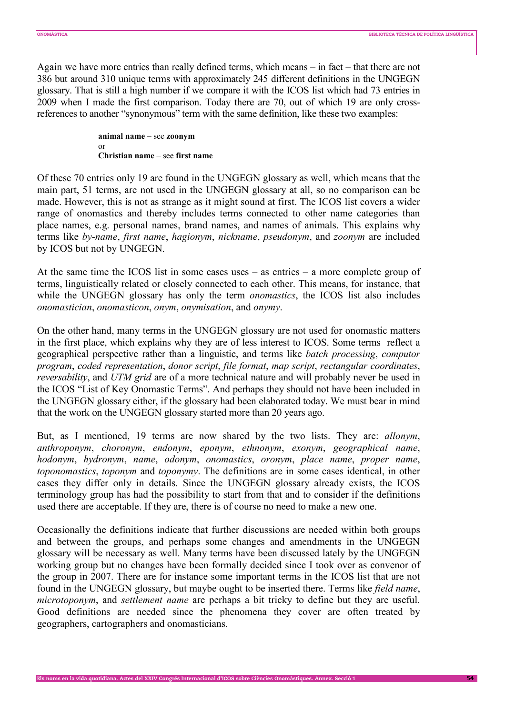Again we have more entries than really defined terms, which means – in fact – that there are not 386 but around 310 unique terms with approximately 245 different definitions in the UNGEGN glossary. That is still a high number if we compare it with the ICOS list which had 73 entries in 2009 when I made the first comparison. Today there are 70, out of which 19 are only crossreferences to another "synonymous" term with the same definition, like these two examples:

> **animal name** – see **zoonym** or **Christian name** – see **first name**

Of these 70 entries only 19 are found in the UNGEGN glossary as well, which means that the main part, 51 terms, are not used in the UNGEGN glossary at all, so no comparison can be made. However, this is not as strange as it might sound at first. The ICOS list covers a wider range of onomastics and thereby includes terms connected to other name categories than place names, e.g. personal names, brand names, and names of animals. This explains why terms like *by-name*, *first name*, *hagionym*, *nickname*, *pseudonym*, and *zoonym* are included by ICOS but not by UNGEGN.

At the same time the ICOS list in some cases uses – as entries – a more complete group of terms, linguistically related or closely connected to each other. This means, for instance, that while the UNGEGN glossary has only the term *onomastics*, the ICOS list also includes *onomastician*, *onomasticon*, *onym*, *onymisation*, and *onymy*.

On the other hand, many terms in the UNGEGN glossary are not used for onomastic matters in the first place, which explains why they are of less interest to ICOS. Some terms reflect a geographical perspective rather than a linguistic, and terms like *batch processing*, *computor program*, *coded representation*, *donor script*, *file format*, *map script*, *rectangular coordinates*, *reversability*, and *UTM grid* are of a more technical nature and will probably never be used in the ICOS "List of Key Onomastic Terms". And perhaps they should not have been included in the UNGEGN glossary either, if the glossary had been elaborated today. We must bear in mind that the work on the UNGEGN glossary started more than 20 years ago.

But, as I mentioned, 19 terms are now shared by the two lists. They are: *allonym*, *anthroponym*, *choronym*, *endonym*, *eponym*, *ethnonym*, *exonym*, *geographical name*, *hodonym*, *hydronym*, *name*, *odonym*, *onomastics*, *oronym*, *place name*, *proper name*, *toponomastics*, *toponym* and *toponymy*. The definitions are in some cases identical, in other cases they differ only in details. Since the UNGEGN glossary already exists, the ICOS terminology group has had the possibility to start from that and to consider if the definitions used there are acceptable. If they are, there is of course no need to make a new one.

Occasionally the definitions indicate that further discussions are needed within both groups and between the groups, and perhaps some changes and amendments in the UNGEGN glossary will be necessary as well. Many terms have been discussed lately by the UNGEGN working group but no changes have been formally decided since I took over as convenor of the group in 2007. There are for instance some important terms in the ICOS list that are not found in the UNGEGN glossary, but maybe ought to be inserted there. Terms like *field name*, *microtoponym*, and *settlement name* are perhaps a bit tricky to define but they are useful. Good definitions are needed since the phenomena they cover are often treated by geographers, cartographers and onomasticians.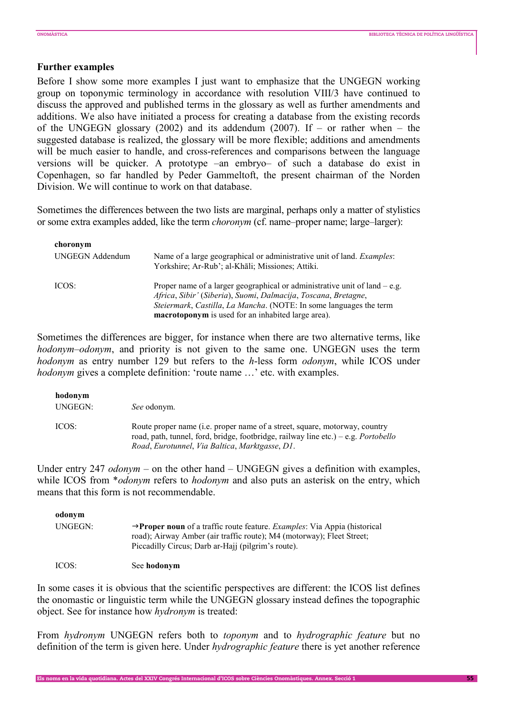# **Further examples**

Before I show some more examples I just want to emphasize that the UNGEGN working group on toponymic terminology in accordance with resolution VIII/3 have continued to discuss the approved and published terms in the glossary as well as further amendments and additions. We also have initiated a process for creating a database from the existing records of the UNGEGN glossary (2002) and its addendum (2007). If – or rather when – the suggested database is realized, the glossary will be more flexible; additions and amendments will be much easier to handle, and cross-references and comparisons between the language versions will be quicker. A prototype –an embryo– of such a database do exist in Copenhagen, so far handled by Peder Gammeltoft, the present chairman of the Norden Division. We will continue to work on that database.

Sometimes the differences between the two lists are marginal, perhaps only a matter of stylistics or some extra examples added, like the term *choronym* (cf. name–proper name; large–larger):

| choronym               |                                                                                |
|------------------------|--------------------------------------------------------------------------------|
| <b>UNGEGN Addendum</b> | Name of a large geographical or administrative unit of land. <i>Examples</i> : |
|                        | Yorkshire; Ar-Rub'; al-Khāli; Missiones; Attiki.                               |
| ICOS:                  | Proper name of a larger geographical or administrative unit of land $-e.g.$    |
|                        | Africa, Sibir' (Siberia), Suomi, Dalmacija, Toscana, Bretagne,                 |
|                        | Steiermark, Castilla, La Mancha. (NOTE: In some languages the term             |
|                        | <b>macrotoponym</b> is used for an inhabited large area).                      |

Sometimes the differences are bigger, for instance when there are two alternative terms, like *hodonym–odonym*, and priority is not given to the same one. UNGEGN uses the term *hodonym* as entry number 129 but refers to the *h*-less form *odonym*, while ICOS under *hodonym* gives a complete definition: 'route name ...' etc. with examples.

| hodonym<br>UNGEGN: | <i>See</i> odonym.                                                                                                                                                                                                        |
|--------------------|---------------------------------------------------------------------------------------------------------------------------------------------------------------------------------------------------------------------------|
| ICOS:              | Route proper name (i.e. proper name of a street, square, motorway, country<br>road, path, tunnel, ford, bridge, footbridge, railway line etc.) – e.g. <i>Portobello</i><br>Road, Eurotunnel, Via Baltica, Marktgasse, D1. |

Under entry 247 *odonym* – on the other hand – UNGEGN gives a definition with examples, while ICOS from \**odonym* refers to *hodonym* and also puts an asterisk on the entry, which means that this form is not recommendable.

| odonym  |                                                                                                                                                                                                                                     |
|---------|-------------------------------------------------------------------------------------------------------------------------------------------------------------------------------------------------------------------------------------|
| UNGEGN: | $\rightarrow$ <b>Proper noun</b> of a traffic route feature. <i>Examples</i> : Via Appia (historical<br>road); Airway Amber (air traffic route); M4 (motorway); Fleet Street;<br>Piccadilly Circus; Darb ar-Hajj (pilgrim's route). |
| ICOS:   | See hodonym                                                                                                                                                                                                                         |

In some cases it is obvious that the scientific perspectives are different: the ICOS list defines the onomastic or linguistic term while the UNGEGN glossary instead defines the topographic object. See for instance how *hydronym* is treated:

From *hydronym* UNGEGN refers both to *toponym* and to *hydrographic feature* but no definition of the term is given here. Under *hydrographic feature* there is yet another reference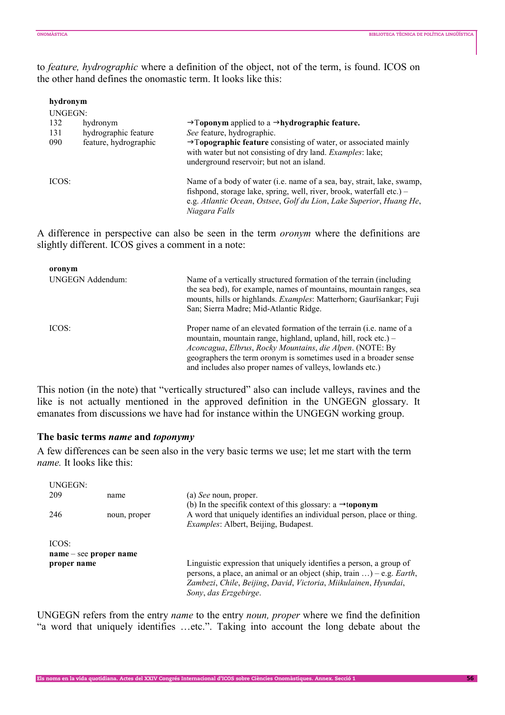to *feature, hydrographic* where a definition of the object, not of the term, is found. ICOS on the other hand defines the onomastic term. It looks like this:

| hydronym |                       |                                                                                                                                                                                                                                         |
|----------|-----------------------|-----------------------------------------------------------------------------------------------------------------------------------------------------------------------------------------------------------------------------------------|
| UNGEGN:  |                       |                                                                                                                                                                                                                                         |
| 132      | hydronym              | $\rightarrow$ Toponym applied to a $\rightarrow$ hydrographic feature.                                                                                                                                                                  |
| 131      | hydrographic feature  | See feature, hydrographic.                                                                                                                                                                                                              |
| 090      | feature, hydrographic | $\rightarrow$ Topographic feature consisting of water, or associated mainly<br>with water but not consisting of dry land. Examples: lake;<br>underground reservoir; but not an island.                                                  |
| ICOS:    |                       | Name of a body of water (i.e. name of a sea, bay, strait, lake, swamp,<br>fishpond, storage lake, spring, well, river, brook, waterfall etc.) –<br>e.g. Atlantic Ocean, Ostsee, Golf du Lion, Lake Superior, Huang He,<br>Niagara Falls |

A difference in perspective can also be seen in the term *oronym* where the definitions are slightly different. ICOS gives a comment in a note:

| oronym<br><b>UNGEGN Addendum:</b> | Name of a vertically structured formation of the terrain (including)<br>the sea bed), for example, names of mountains, mountain ranges, sea<br>mounts, hills or highlands. Examples: Matterhorn; Gaurīšankar; Fuji<br>San; Sierra Madre; Mid-Atlantic Ridge.                                                                                |
|-----------------------------------|---------------------------------------------------------------------------------------------------------------------------------------------------------------------------------------------------------------------------------------------------------------------------------------------------------------------------------------------|
| ICOS:                             | Proper name of an elevated formation of the terrain ( <i>i.e.</i> name of a<br>mountain, mountain range, highland, upland, hill, rock etc.) -<br>Aconcagua, Elbrus, Rocky Mountains, die Alpen. (NOTE: By<br>geographers the term or onym is sometimes used in a broader sense<br>and includes also proper names of valleys, lowlands etc.) |

This notion (in the note) that "vertically structured" also can include valleys, ravines and the like is not actually mentioned in the approved definition in the UNGEGN glossary. It emanates from discussions we have had for instance within the UNGEGN working group.

### **The basic terms** *name* **and** *toponymy*

A few differences can be seen also in the very basic terms we use; let me start with the term *name.* It looks like this:

| UNGEGN:                  |              |                                                                                                                                                                                                                        |  |
|--------------------------|--------------|------------------------------------------------------------------------------------------------------------------------------------------------------------------------------------------------------------------------|--|
| 209                      | name         | (a) See noun, proper.<br>(b) In the specifik context of this glossary: a $\rightarrow$ toponym<br>A word that uniquely identifies an individual person, place or thing.<br><i>Examples: Albert, Beijing, Budapest.</i> |  |
| 246                      | noun, proper |                                                                                                                                                                                                                        |  |
| ICOS:                    |              |                                                                                                                                                                                                                        |  |
| $name - see proper name$ |              |                                                                                                                                                                                                                        |  |
| proper name              |              | Linguistic expression that uniquely identifies a person, a group of<br>persons, a place, an animal or an object (ship, train ) – e.g. Earth,                                                                           |  |
|                          |              | Zambezi, Chile, Beijing, David, Victoria, Miikulainen, Hyundai,                                                                                                                                                        |  |
|                          |              | Sony, das Erzgebirge.                                                                                                                                                                                                  |  |

UNGEGN refers from the entry *name* to the entry *noun, proper* where we find the definition "a word that uniquely identifies …etc.". Taking into account the long debate about the